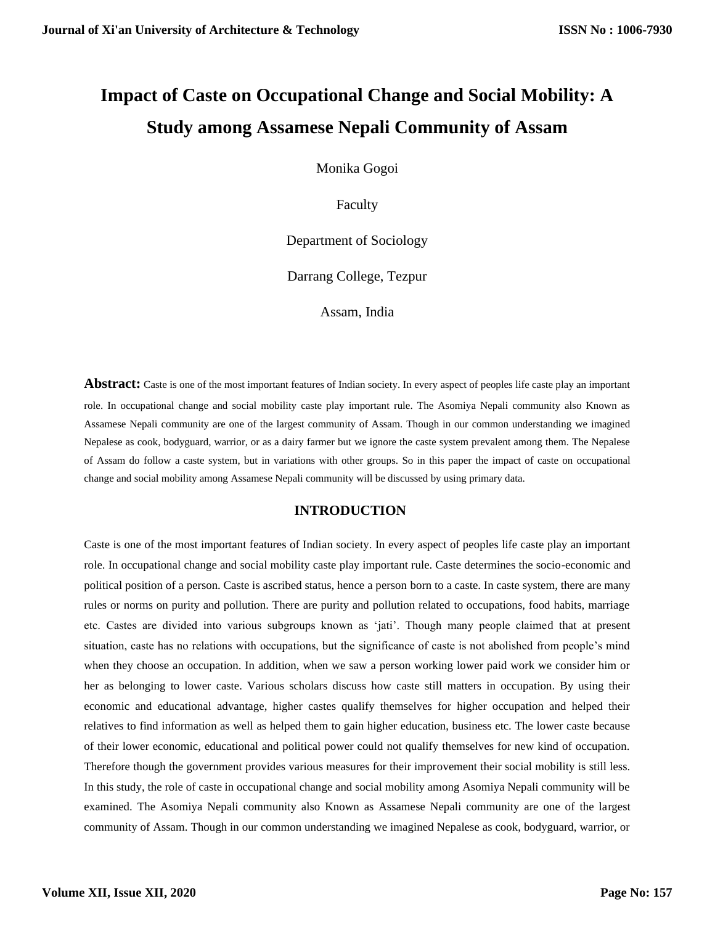# **Impact of Caste on Occupational Change and Social Mobility: A Study among Assamese Nepali Community of Assam**

Monika Gogoi

Faculty

Department of Sociology

Darrang College, Tezpur

Assam, India

**Abstract:** Caste is one of the most important features of Indian society. In every aspect of peoples life caste play an important role. In occupational change and social mobility caste play important rule. The Asomiya Nepali community also Known as Assamese Nepali community are one of the largest community of Assam. Though in our common understanding we imagined Nepalese as cook, bodyguard, warrior, or as a dairy farmer but we ignore the caste system prevalent among them. The Nepalese of Assam do follow a caste system, but in variations with other groups. So in this paper the impact of caste on occupational change and social mobility among Assamese Nepali community will be discussed by using primary data.

# **INTRODUCTION**

Caste is one of the most important features of Indian society. In every aspect of peoples life caste play an important role. In occupational change and social mobility caste play important rule. Caste determines the socio-economic and political position of a person. Caste is ascribed status, hence a person born to a caste. In caste system, there are many rules or norms on purity and pollution. There are purity and pollution related to occupations, food habits, marriage etc. Castes are divided into various subgroups known as 'jati'. Though many people claimed that at present situation, caste has no relations with occupations, but the significance of caste is not abolished from people's mind when they choose an occupation. In addition, when we saw a person working lower paid work we consider him or her as belonging to lower caste. Various scholars discuss how caste still matters in occupation. By using their economic and educational advantage, higher castes qualify themselves for higher occupation and helped their relatives to find information as well as helped them to gain higher education, business etc. The lower caste because of their lower economic, educational and political power could not qualify themselves for new kind of occupation. Therefore though the government provides various measures for their improvement their social mobility is still less. In this study, the role of caste in occupational change and social mobility among Asomiya Nepali community will be examined. The Asomiya Nepali community also Known as Assamese Nepali community are one of the largest community of Assam. Though in our common understanding we imagined Nepalese as cook, bodyguard, warrior, or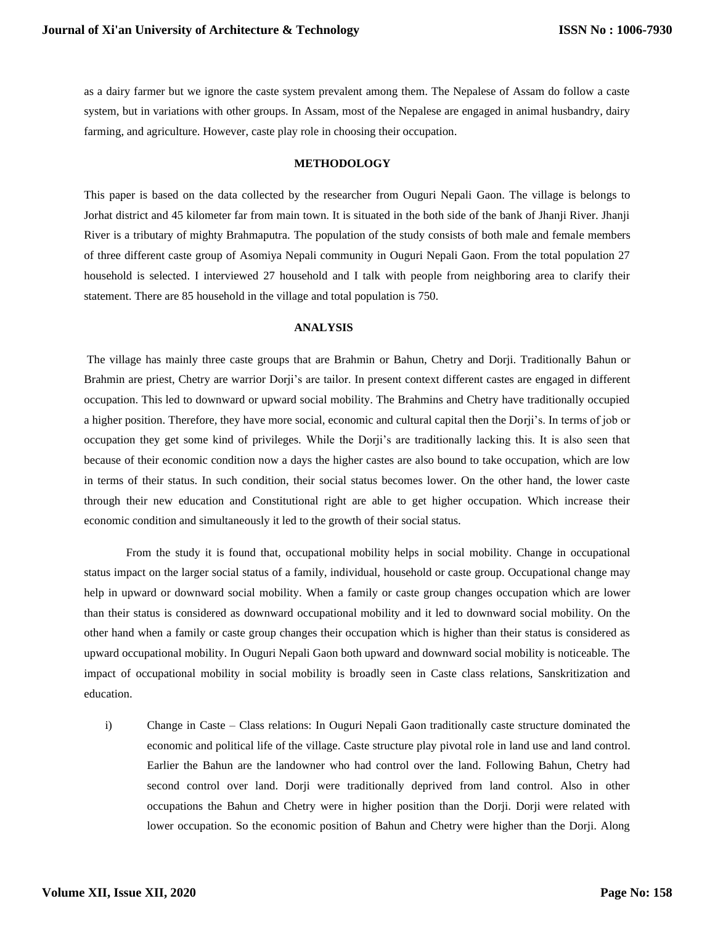as a dairy farmer but we ignore the caste system prevalent among them. The Nepalese of Assam do follow a caste system, but in variations with other groups. In Assam, most of the Nepalese are engaged in animal husbandry, dairy farming, and agriculture. However, caste play role in choosing their occupation.

#### **METHODOLOGY**

This paper is based on the data collected by the researcher from Ouguri Nepali Gaon. The village is belongs to Jorhat district and 45 kilometer far from main town. It is situated in the both side of the bank of Jhanji River. Jhanji River is a tributary of mighty Brahmaputra. The population of the study consists of both male and female members of three different caste group of Asomiya Nepali community in Ouguri Nepali Gaon. From the total population 27 household is selected. I interviewed 27 household and I talk with people from neighboring area to clarify their statement. There are 85 household in the village and total population is 750.

## **ANALYSIS**

The village has mainly three caste groups that are Brahmin or Bahun, Chetry and Dorji. Traditionally Bahun or Brahmin are priest, Chetry are warrior Dorji's are tailor. In present context different castes are engaged in different occupation. This led to downward or upward social mobility. The Brahmins and Chetry have traditionally occupied a higher position. Therefore, they have more social, economic and cultural capital then the Dorji's. In terms of job or occupation they get some kind of privileges. While the Dorji's are traditionally lacking this. It is also seen that because of their economic condition now a days the higher castes are also bound to take occupation, which are low in terms of their status. In such condition, their social status becomes lower. On the other hand, the lower caste through their new education and Constitutional right are able to get higher occupation. Which increase their economic condition and simultaneously it led to the growth of their social status.

From the study it is found that, occupational mobility helps in social mobility. Change in occupational status impact on the larger social status of a family, individual, household or caste group. Occupational change may help in upward or downward social mobility. When a family or caste group changes occupation which are lower than their status is considered as downward occupational mobility and it led to downward social mobility. On the other hand when a family or caste group changes their occupation which is higher than their status is considered as upward occupational mobility. In Ouguri Nepali Gaon both upward and downward social mobility is noticeable. The impact of occupational mobility in social mobility is broadly seen in Caste class relations, Sanskritization and education.

i) Change in Caste – Class relations: In Ouguri Nepali Gaon traditionally caste structure dominated the economic and political life of the village. Caste structure play pivotal role in land use and land control. Earlier the Bahun are the landowner who had control over the land. Following Bahun, Chetry had second control over land. Dorji were traditionally deprived from land control. Also in other occupations the Bahun and Chetry were in higher position than the Dorji. Dorji were related with lower occupation. So the economic position of Bahun and Chetry were higher than the Dorji. Along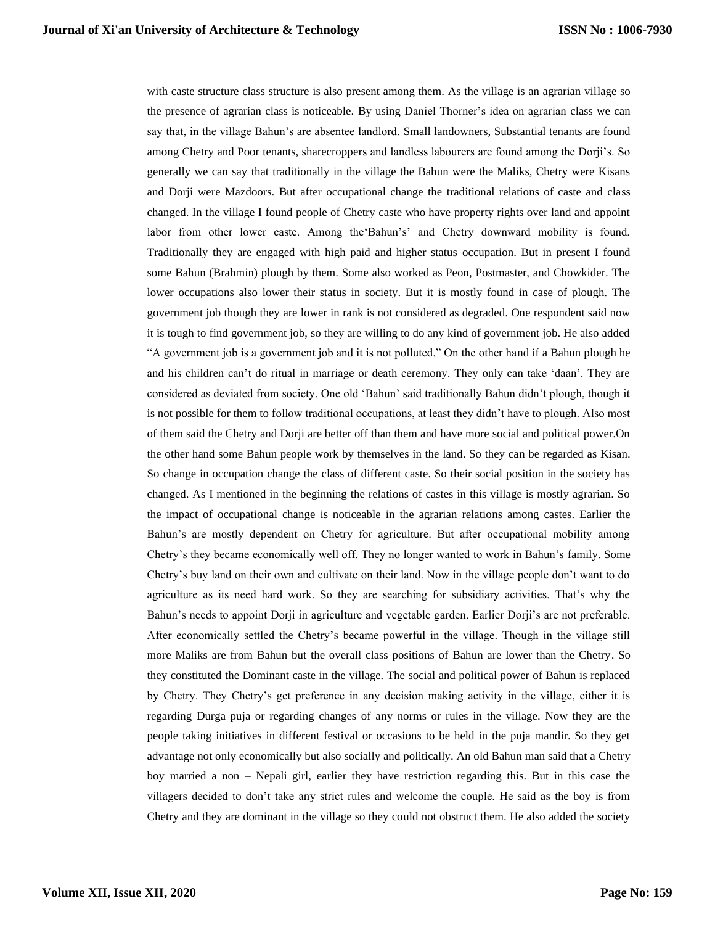with caste structure class structure is also present among them. As the village is an agrarian village so the presence of agrarian class is noticeable. By using Daniel Thorner's idea on agrarian class we can say that, in the village Bahun's are absentee landlord. Small landowners, Substantial tenants are found among Chetry and Poor tenants, sharecroppers and landless labourers are found among the Dorji's. So generally we can say that traditionally in the village the Bahun were the Maliks, Chetry were Kisans and Dorji were Mazdoors. But after occupational change the traditional relations of caste and class changed. In the village I found people of Chetry caste who have property rights over land and appoint labor from other lower caste. Among the'Bahun's' and Chetry downward mobility is found. Traditionally they are engaged with high paid and higher status occupation. But in present I found some Bahun (Brahmin) plough by them. Some also worked as Peon, Postmaster, and Chowkider. The lower occupations also lower their status in society. But it is mostly found in case of plough. The government job though they are lower in rank is not considered as degraded. One respondent said now it is tough to find government job, so they are willing to do any kind of government job. He also added "A government job is a government job and it is not polluted." On the other hand if a Bahun plough he and his children can't do ritual in marriage or death ceremony. They only can take 'daan'. They are considered as deviated from society. One old 'Bahun' said traditionally Bahun didn't plough, though it is not possible for them to follow traditional occupations, at least they didn't have to plough. Also most of them said the Chetry and Dorji are better off than them and have more social and political power.On the other hand some Bahun people work by themselves in the land. So they can be regarded as Kisan. So change in occupation change the class of different caste. So their social position in the society has changed. As I mentioned in the beginning the relations of castes in this village is mostly agrarian. So the impact of occupational change is noticeable in the agrarian relations among castes. Earlier the Bahun's are mostly dependent on Chetry for agriculture. But after occupational mobility among Chetry's they became economically well off. They no longer wanted to work in Bahun's family. Some Chetry's buy land on their own and cultivate on their land. Now in the village people don't want to do agriculture as its need hard work. So they are searching for subsidiary activities. That's why the Bahun's needs to appoint Dorji in agriculture and vegetable garden. Earlier Dorji's are not preferable. After economically settled the Chetry's became powerful in the village. Though in the village still more Maliks are from Bahun but the overall class positions of Bahun are lower than the Chetry. So they constituted the Dominant caste in the village. The social and political power of Bahun is replaced by Chetry. They Chetry's get preference in any decision making activity in the village, either it is regarding Durga puja or regarding changes of any norms or rules in the village. Now they are the people taking initiatives in different festival or occasions to be held in the puja mandir. So they get advantage not only economically but also socially and politically. An old Bahun man said that a Chetry boy married a non – Nepali girl, earlier they have restriction regarding this. But in this case the villagers decided to don't take any strict rules and welcome the couple. He said as the boy is from Chetry and they are dominant in the village so they could not obstruct them. He also added the society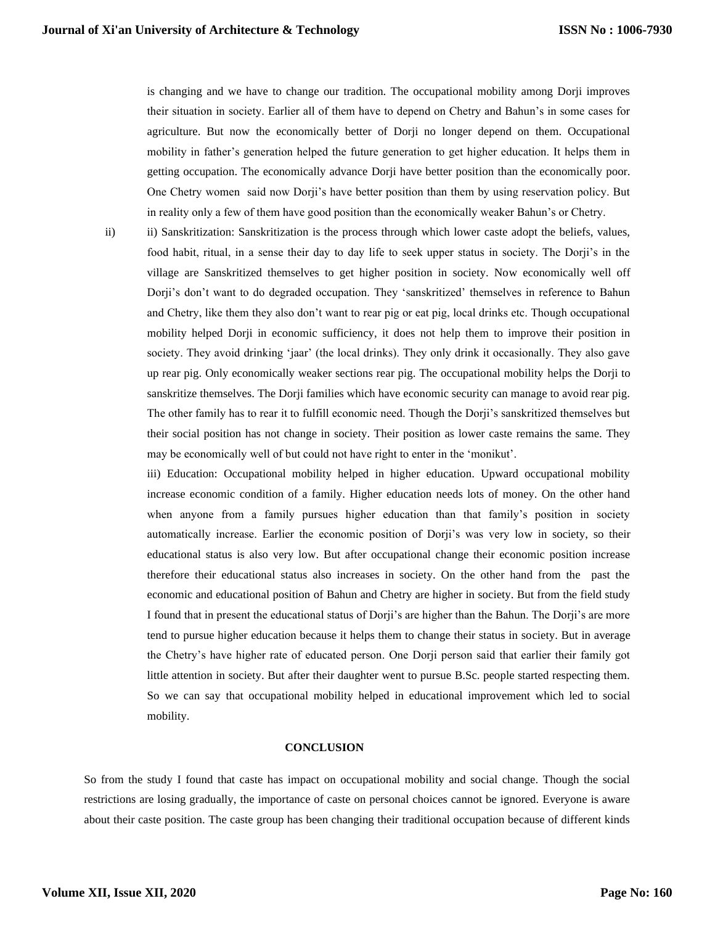is changing and we have to change our tradition. The occupational mobility among Dorji improves their situation in society. Earlier all of them have to depend on Chetry and Bahun's in some cases for agriculture. But now the economically better of Dorji no longer depend on them. Occupational mobility in father's generation helped the future generation to get higher education. It helps them in getting occupation. The economically advance Dorji have better position than the economically poor. One Chetry women said now Dorji's have better position than them by using reservation policy. But in reality only a few of them have good position than the economically weaker Bahun's or Chetry.

ii) ii) Sanskritization: Sanskritization is the process through which lower caste adopt the beliefs, values, food habit, ritual, in a sense their day to day life to seek upper status in society. The Dorji's in the village are Sanskritized themselves to get higher position in society. Now economically well off Dorji's don't want to do degraded occupation. They 'sanskritized' themselves in reference to Bahun and Chetry, like them they also don't want to rear pig or eat pig, local drinks etc. Though occupational mobility helped Dorji in economic sufficiency, it does not help them to improve their position in society. They avoid drinking 'jaar' (the local drinks). They only drink it occasionally. They also gave up rear pig. Only economically weaker sections rear pig. The occupational mobility helps the Dorji to sanskritize themselves. The Dorji families which have economic security can manage to avoid rear pig. The other family has to rear it to fulfill economic need. Though the Dorji's sanskritized themselves but their social position has not change in society. Their position as lower caste remains the same. They may be economically well of but could not have right to enter in the 'monikut'.

iii) Education: Occupational mobility helped in higher education. Upward occupational mobility increase economic condition of a family. Higher education needs lots of money. On the other hand when anyone from a family pursues higher education than that family's position in society automatically increase. Earlier the economic position of Dorji's was very low in society, so their educational status is also very low. But after occupational change their economic position increase therefore their educational status also increases in society. On the other hand from the past the economic and educational position of Bahun and Chetry are higher in society. But from the field study I found that in present the educational status of Dorji's are higher than the Bahun. The Dorji's are more tend to pursue higher education because it helps them to change their status in society. But in average the Chetry's have higher rate of educated person. One Dorji person said that earlier their family got little attention in society. But after their daughter went to pursue B.Sc. people started respecting them. So we can say that occupational mobility helped in educational improvement which led to social mobility.

#### **CONCLUSION**

So from the study I found that caste has impact on occupational mobility and social change. Though the social restrictions are losing gradually, the importance of caste on personal choices cannot be ignored. Everyone is aware about their caste position. The caste group has been changing their traditional occupation because of different kinds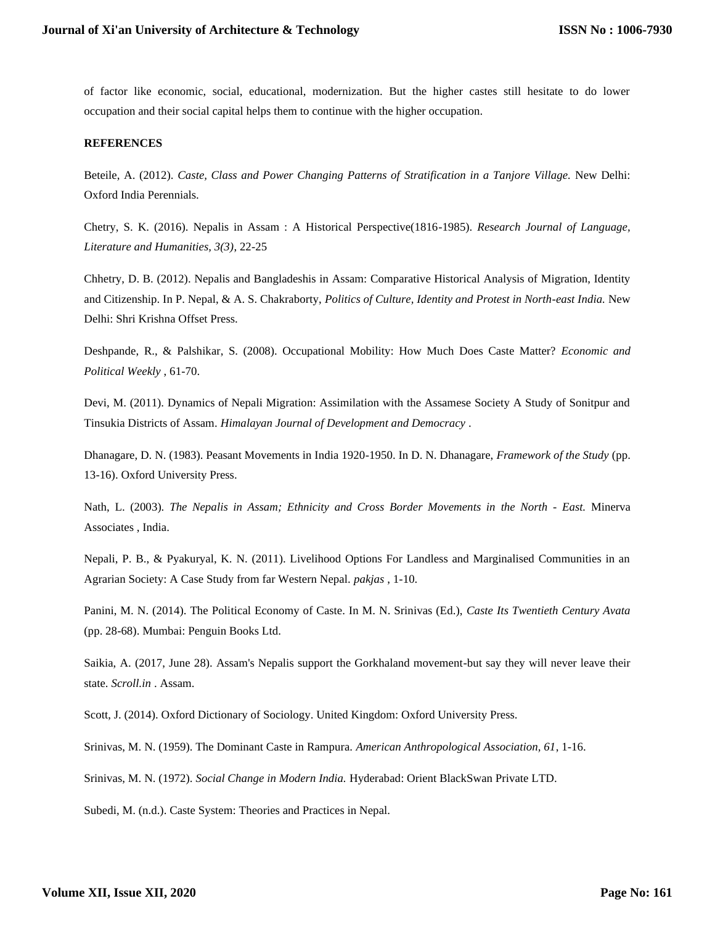of factor like economic, social, educational, modernization. But the higher castes still hesitate to do lower occupation and their social capital helps them to continue with the higher occupation.

## **REFERENCES**

Beteile, A. (2012). *Caste, Class and Power Changing Patterns of Stratification in a Tanjore Village.* New Delhi: Oxford India Perennials.

Chetry, S. K. (2016). Nepalis in Assam : A Historical Perspective(1816-1985). *Research Journal of Language, Literature and Humanities, 3(3)*, 22-25

Chhetry, D. B. (2012). Nepalis and Bangladeshis in Assam: Comparative Historical Analysis of Migration, Identity and Citizenship. In P. Nepal, & A. S. Chakraborty, *Politics of Culture, Identity and Protest in North-east India.* New Delhi: Shri Krishna Offset Press.

Deshpande, R., & Palshikar, S. (2008). Occupational Mobility: How Much Does Caste Matter? *Economic and Political Weekly* , 61-70.

Devi, M. (2011). Dynamics of Nepali Migration: Assimilation with the Assamese Society A Study of Sonitpur and Tinsukia Districts of Assam. *Himalayan Journal of Development and Democracy* .

Dhanagare, D. N. (1983). Peasant Movements in India 1920-1950. In D. N. Dhanagare, *Framework of the Study* (pp. 13-16). Oxford University Press.

Nath, L. (2003). *The Nepalis in Assam; Ethnicity and Cross Border Movements in the North - East.* Minerva Associates , India.

Nepali, P. B., & Pyakuryal, K. N. (2011). Livelihood Options For Landless and Marginalised Communities in an Agrarian Society: A Case Study from far Western Nepal. *pakjas* , 1-10.

Panini, M. N. (2014). The Political Economy of Caste. In M. N. Srinivas (Ed.), *Caste Its Twentieth Century Avata* (pp. 28-68). Mumbai: Penguin Books Ltd.

Saikia, A. (2017, June 28). Assam's Nepalis support the Gorkhaland movement-but say they will never leave their state. *Scroll.in* . Assam.

Scott, J. (2014). Oxford Dictionary of Sociology. United Kingdom: Oxford University Press.

Srinivas, M. N. (1959). The Dominant Caste in Rampura. *American Anthropological Association, 61*, 1-16.

Srinivas, M. N. (1972). *Social Change in Modern India.* Hyderabad: Orient BlackSwan Private LTD.

Subedi, M. (n.d.). Caste System: Theories and Practices in Nepal.